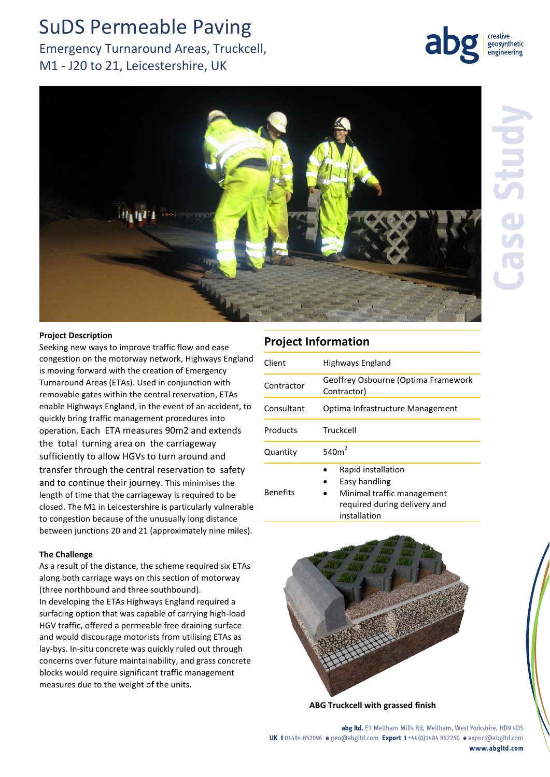# SuDS Permeable Paving

# Emergency Turnaround Areas, Truckcell, M1 - J20 to 21, Leicestershire, UK





### **Project Description**

Seeking new ways to improve traffic flow and ease congestion on the motorway network, Highways England is moving forward with the creation of Emergency Turnaround Areas (ETAs). Used in conjunction with removable gates within the central reservation, ETAs enable Highways England, in the event of an accident, to quickly bring traffic management procedures into operation. Each ETA measures 90m2 and extends the total turning area on the carriageway sufficiently to allow HGVs to turn around and transfer through the central reservation to safety and to continue their journey. This minimises the length of time that the carriageway is required to be closed. The M1 in Leicestershire is particularly vulnerable to congestion because of the unusually long distance between junctions 20 and 21 (approximately nine miles).

#### **The Challenge**

As a result of the distance, the scheme required six ETAs along both carriage ways on this section of motorway (three northbound and three southbound). In developing the ETAs Highways England required a surfacing option that was capable of carrying high-load HGV traffic, offered a permeable free draining surface and would discourage motorists from utilising ETAs as lay-bys. In-situ concrete was quickly ruled out through concerns over future maintainability, and grass concrete blocks would require significant traffic management measures due to the weight of the units.

## **Project Information**

| Client          | Highways England                                                                                                  |
|-----------------|-------------------------------------------------------------------------------------------------------------------|
| Contractor      | Geoffrey Osbourne (Optima Framework<br>Contractor)                                                                |
| Consultant      | Optima Infrastructure Management                                                                                  |
| Products        | Truckcell                                                                                                         |
| Quantity        | 540 $m2$                                                                                                          |
| <b>Benefits</b> | Rapid installation<br>Easy handling<br>Minimal traffic management<br>required during delivery and<br>installation |



**ABG Truckcell with grassed finish**

**abg ltd.** E7 Meltham Mills Rd, Meltham, West Yorkshire, HD9 4DS **UK t** 01484 852096 **e** geo@abgltd.com **Export t** +44(0)1484 852250 **e** export@abgltd.com **www.abgltd.com**